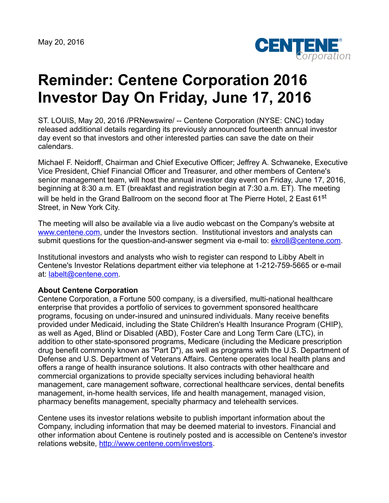May 20, 2016



## **Reminder: Centene Corporation 2016 Investor Day On Friday, June 17, 2016**

ST. LOUIS, May 20, 2016 /PRNewswire/ -- Centene Corporation (NYSE: CNC) today released additional details regarding its previously announced fourteenth annual investor day event so that investors and other interested parties can save the date on their calendars.

Michael F. Neidorff, Chairman and Chief Executive Officer; Jeffrey A. Schwaneke, Executive Vice President, Chief Financial Officer and Treasurer, and other members of Centene's senior management team, will host the annual investor day event on Friday, June 17, 2016, beginning at 8:30 a.m. ET (breakfast and registration begin at 7:30 a.m. ET). The meeting will be held in the Grand Ballroom on the second floor at The Pierre Hotel, 2 East 61<sup>st</sup> Street, in New York City.

The meeting will also be available via a live audio webcast on the Company's website at [www.centene.com,](http://www.centene.com/) under the Investors section. Institutional investors and analysts can submit questions for the question-and-answer segment via e-mail to: [ekroll@centene.com](mailto:ekroll@centene.com).

Institutional investors and analysts who wish to register can respond to Libby Abelt in Centene's Investor Relations department either via telephone at 1-212-759-5665 or e-mail at: [labelt@centene.com](mailto:labelt@centene.com).

## **About Centene Corporation**

Centene Corporation, a Fortune 500 company, is a diversified, multi-national healthcare enterprise that provides a portfolio of services to government sponsored healthcare programs, focusing on under-insured and uninsured individuals. Many receive benefits provided under Medicaid, including the State Children's Health Insurance Program (CHIP), as well as Aged, Blind or Disabled (ABD), Foster Care and Long Term Care (LTC), in addition to other state-sponsored programs, Medicare (including the Medicare prescription drug benefit commonly known as "Part D"), as well as programs with the U.S. Department of Defense and U.S. Department of Veterans Affairs. Centene operates local health plans and offers a range of health insurance solutions. It also contracts with other healthcare and commercial organizations to provide specialty services including behavioral health management, care management software, correctional healthcare services, dental benefits management, in-home health services, life and health management, managed vision, pharmacy benefits management, specialty pharmacy and telehealth services.

Centene uses its investor relations website to publish important information about the Company, including information that may be deemed material to investors. Financial and other information about Centene is routinely posted and is accessible on Centene's investor relations website, <http://www.centene.com/investors>.